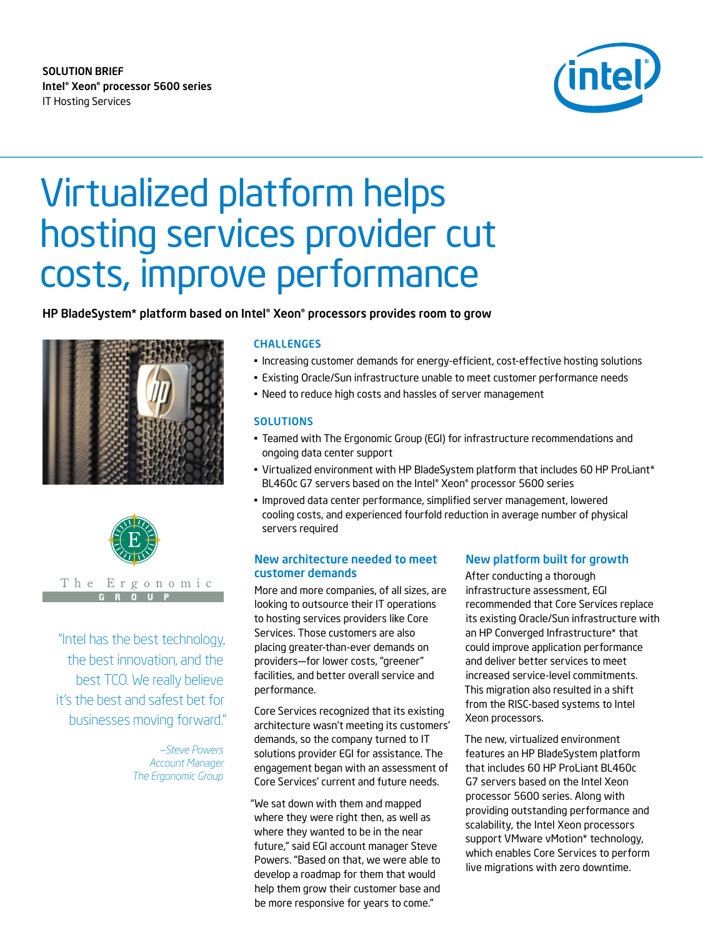# SOLUTION BRIEF Intel® Xeon® processor 5600 series IT Hosting Services



# Virtualized platform helps hosting services provider cut costs, improve performance

## HP BladeSystem\* platform based on Intel® Xeon® processors provides room to grow





#### The Ergonomic  $\mathbf{0}$

"Intel has the best technology, the best innovation, and the best TCO. We really believe it's the best and safest bet for businesses moving forward."

> *—Steve Powers Account Manager The Ergonomic Group*

#### **CHALLENGES**

- Increasing customer demands for energy-efficient, cost-effective hosting solutions
- Existing Oracle/Sun infrastructure unable to meet customer performance needs
- Need to reduce high costs and hassles of server management

#### **SOLUTIONS**

- Teamed with The Ergonomic Group (EGI) for infrastructure recommendations and ongoing data center support
- Virtualized environment with HP BladeSystem platform that includes 60 HP ProLiant\* BL460c G7 servers based on the Intel® Xeon® processor 5600 series
- Improved data center performance, simplified server management, lowered cooling costs, and experienced fourfold reduction in average number of physical servers required

## New architecture needed to meet customer demands

More and more companies, of all sizes, are looking to outsource their IT operations to hosting services providers like Core Services. Those customers are also placing greater-than-ever demands on providers—for lower costs, "greener" facilities, and better overall service and performance.

Core Services recognized that its existing architecture wasn't meeting its customers' demands, so the company turned to IT solutions provider EGI for assistance. The engagement began with an assessment of Core Services' current and future needs.

"We sat down with them and mapped where they were right then, as well as where they wanted to be in the near future," said EGI account manager Steve Powers. "Based on that, we were able to develop a roadmap for them that would help them grow their customer base and be more responsive for years to come."

# New platform built for growth

After conducting a thorough infrastructure assessment, EGI recommended that Core Services replace its existing Oracle/Sun infrastructure with an HP Converged Infrastructure\* that could improve application performance and deliver better services to meet increased service-level commitments. This migration also resulted in a shift from the RISC-based systems to Intel Xeon processors.

The new, virtualized environment features an HP BladeSystem platform that includes 60 HP ProLiant BL460c G7 servers based on the Intel Xeon processor 5600 series. Along with providing outstanding performance and scalability, the Intel Xeon processors support VMware vMotion\* technology, which enables Core Services to perform live migrations with zero downtime.